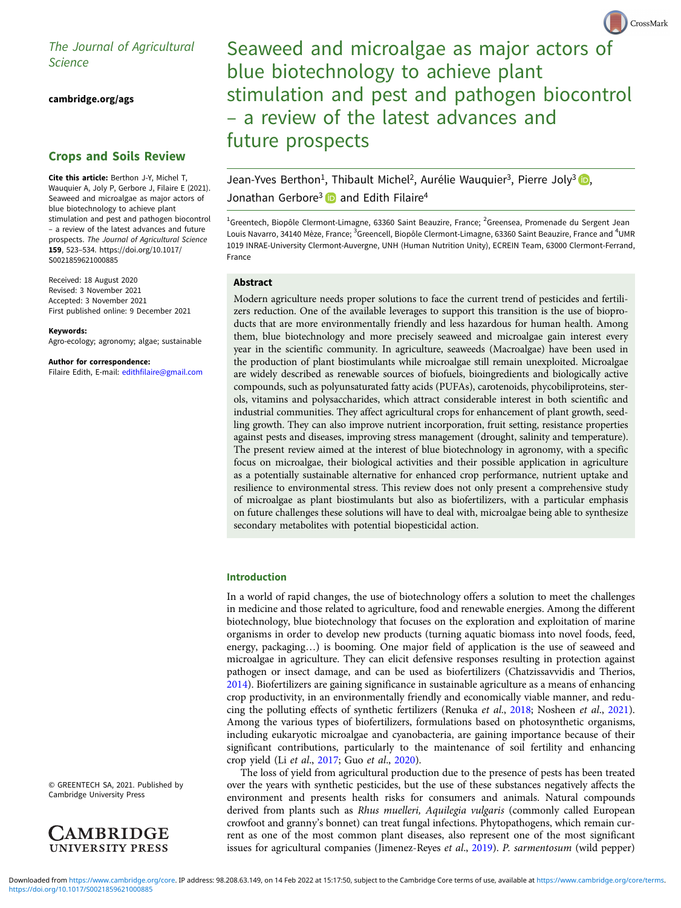[cambridge.org/ags](https://www.cambridge.org/ags)

# Crops and Soils Review

Cite this article: Berthon J-Y, Michel T, Wauquier A, Joly P, Gerbore J, Filaire E (2021). Seaweed and microalgae as major actors of blue biotechnology to achieve plant stimulation and pest and pathogen biocontrol – a review of the latest advances and future prospects. The Journal of Agricultural Science 159, 523–534. [https://doi.org/10.1017/](https://doi.org/10.1017/S0021859621000885) [S0021859621000885](https://doi.org/10.1017/S0021859621000885)

Received: 18 August 2020 Revised: 3 November 2021 Accepted: 3 November 2021 First published online: 9 December 2021

Keywords: Agro-ecology; agronomy; algae; sustainable

Author for correspondence:

Filaire Edith, E-mail: [edithfilaire@gmail.com](mailto:edithfilaire@gmail.com)

Seaweed and microalgae as major actors of blue biotechnology to achieve plant stimulation and pest and pathogen biocontrol – a review of the latest advances and future prospects

CrossMark

Jean-Yves Berthon<sup>1</sup>[,](https://orcid.org/0000-0003-4972-5590) Thibault Michel<sup>2</sup>, Aurélie Wauquier<sup>3</sup>, Pierre Joly<sup>3</sup> D, Jonathan Gerbore<sup>3</sup> and Edith Filaire<sup>4</sup>

<sup>1</sup>Greentech, Biopôle Clermont-Limagne, 63360 Saint Beauzire, France; <sup>2</sup>Greensea, Promenade du Sergent Jean Louis Navarro, 34140 Mèze, France; <sup>3</sup>Greencell, Biopôle Clermont-Limagne, 63360 Saint Beauzire, France and <sup>4</sup>UMR 1019 INRAE-University Clermont-Auvergne, UNH (Human Nutrition Unity), ECREIN Team, 63000 Clermont-Ferrand, France

# Abstract

Modern agriculture needs proper solutions to face the current trend of pesticides and fertilizers reduction. One of the available leverages to support this transition is the use of bioproducts that are more environmentally friendly and less hazardous for human health. Among them, blue biotechnology and more precisely seaweed and microalgae gain interest every year in the scientific community. In agriculture, seaweeds (Macroalgae) have been used in the production of plant biostimulants while microalgae still remain unexploited. Microalgae are widely described as renewable sources of biofuels, bioingredients and biologically active compounds, such as polyunsaturated fatty acids (PUFAs), carotenoids, phycobiliproteins, sterols, vitamins and polysaccharides, which attract considerable interest in both scientific and industrial communities. They affect agricultural crops for enhancement of plant growth, seedling growth. They can also improve nutrient incorporation, fruit setting, resistance properties against pests and diseases, improving stress management (drought, salinity and temperature). The present review aimed at the interest of blue biotechnology in agronomy, with a specific focus on microalgae, their biological activities and their possible application in agriculture as a potentially sustainable alternative for enhanced crop performance, nutrient uptake and resilience to environmental stress. This review does not only present a comprehensive study of microalgae as plant biostimulants but also as biofertilizers, with a particular emphasis on future challenges these solutions will have to deal with, microalgae being able to synthesize secondary metabolites with potential biopesticidal action.

#### Introduction

In a world of rapid changes, the use of biotechnology offers a solution to meet the challenges in medicine and those related to agriculture, food and renewable energies. Among the different biotechnology, blue biotechnology that focuses on the exploration and exploitation of marine organisms in order to develop new products (turning aquatic biomass into novel foods, feed, energy, packaging…) is booming. One major field of application is the use of seaweed and microalgae in agriculture. They can elicit defensive responses resulting in protection against pathogen or insect damage, and can be used as biofertilizers (Chatzissavvidis and Therios, [2014\)](#page-9-0). Biofertilizers are gaining significance in sustainable agriculture as a means of enhancing crop productivity, in an environmentally friendly and economically viable manner, and reducing the polluting effects of synthetic fertilizers (Renuka et al., [2018;](#page-10-0) Nosheen et al., [2021](#page-10-0)). Among the various types of biofertilizers, formulations based on photosynthetic organisms, including eukaryotic microalgae and cyanobacteria, are gaining importance because of their significant contributions, particularly to the maintenance of soil fertility and enhancing crop yield (Li et al., [2017](#page-10-0); Guo et al., [2020](#page-9-0)).

The loss of yield from agricultural production due to the presence of pests has been treated over the years with synthetic pesticides, but the use of these substances negatively affects the environment and presents health risks for consumers and animals. Natural compounds derived from plants such as Rhus muelleri, Aquilegia vulgaris (commonly called European crowfoot and granny's bonnet) can treat fungal infections. Phytopathogens, which remain current as one of the most common plant diseases, also represent one of the most significant issues for agricultural companies (Jimenez-Reyes et al., [2019](#page-10-0)). P. sarmentosum (wild pepper)

© GREENTECH SA, 2021. Published by Cambridge University Press

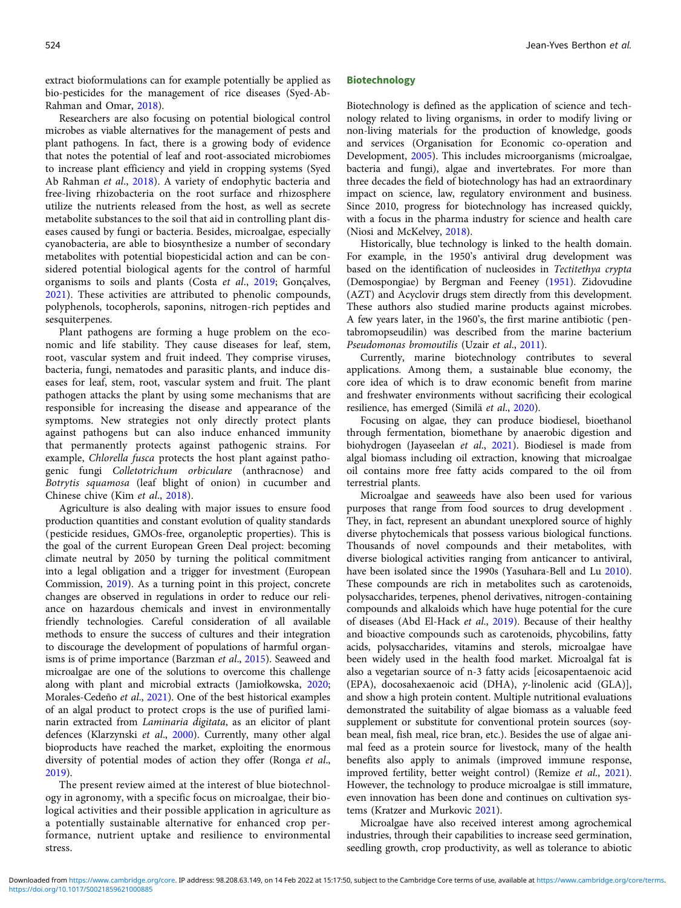extract bioformulations can for example potentially be applied as bio-pesticides for the management of rice diseases (Syed-Ab-Rahman and Omar, [2018](#page-11-0)).

Researchers are also focusing on potential biological control microbes as viable alternatives for the management of pests and plant pathogens. In fact, there is a growing body of evidence that notes the potential of leaf and root-associated microbiomes to increase plant efficiency and yield in cropping systems (Syed Ab Rahman et al., [2018\)](#page-11-0). A variety of endophytic bacteria and free-living rhizobacteria on the root surface and rhizosphere utilize the nutrients released from the host, as well as secrete metabolite substances to the soil that aid in controlling plant diseases caused by fungi or bacteria. Besides, microalgae, especially cyanobacteria, are able to biosynthesize a number of secondary metabolites with potential biopesticidal action and can be considered potential biological agents for the control of harmful organisms to soils and plants (Costa et al., [2019;](#page-9-0) Gonçalves, [2021](#page-9-0)). These activities are attributed to phenolic compounds, polyphenols, tocopherols, saponins, nitrogen-rich peptides and sesquiterpenes.

Plant pathogens are forming a huge problem on the economic and life stability. They cause diseases for leaf, stem, root, vascular system and fruit indeed. They comprise viruses, bacteria, fungi, nematodes and parasitic plants, and induce diseases for leaf, stem, root, vascular system and fruit. The plant pathogen attacks the plant by using some mechanisms that are responsible for increasing the disease and appearance of the symptoms. New strategies not only directly protect plants against pathogens but can also induce enhanced immunity that permanently protects against pathogenic strains. For example, Chlorella fusca protects the host plant against pathogenic fungi Colletotrichum orbiculare (anthracnose) and Botrytis squamosa (leaf blight of onion) in cucumber and Chinese chive (Kim et al., [2018\)](#page-10-0).

Agriculture is also dealing with major issues to ensure food production quantities and constant evolution of quality standards (pesticide residues, GMOs-free, organoleptic properties). This is the goal of the current European Green Deal project: becoming climate neutral by 2050 by turning the political commitment into a legal obligation and a trigger for investment (European Commission, [2019\)](#page-9-0). As a turning point in this project, concrete changes are observed in regulations in order to reduce our reliance on hazardous chemicals and invest in environmentally friendly technologies. Careful consideration of all available methods to ensure the success of cultures and their integration to discourage the development of populations of harmful organ-isms is of prime importance (Barzman et al., [2015](#page-9-0)). Seaweed and microalgae are one of the solutions to overcome this challenge along with plant and microbial extracts (Jamiołkowska, [2020](#page-9-0); Morales-Cedeño et al., [2021\)](#page-10-0). One of the best historical examples of an algal product to protect crops is the use of purified laminarin extracted from Laminaria digitata, as an elicitor of plant defences (Klarzynski et al., [2000](#page-10-0)). Currently, many other algal bioproducts have reached the market, exploiting the enormous diversity of potential modes of action they offer (Ronga et al., [2019\)](#page-10-0).

The present review aimed at the interest of blue biotechnology in agronomy, with a specific focus on microalgae, their biological activities and their possible application in agriculture as a potentially sustainable alternative for enhanced crop performance, nutrient uptake and resilience to environmental stress.

#### Biotechnology

Biotechnology is defined as the application of science and technology related to living organisms, in order to modify living or non-living materials for the production of knowledge, goods and services (Organisation for Economic co-operation and Development, [2005\)](#page-10-0). This includes microorganisms (microalgae, bacteria and fungi), algae and invertebrates. For more than three decades the field of biotechnology has had an extraordinary impact on science, law, regulatory environment and business. Since 2010, progress for biotechnology has increased quickly, with a focus in the pharma industry for science and health care (Niosi and McKelvey, [2018](#page-10-0)).

Historically, blue technology is linked to the health domain. For example, in the 1950's antiviral drug development was based on the identification of nucleosides in Tectitethya crypta (Demospongiae) by Bergman and Feeney [\(1951\)](#page-9-0). Zidovudine (AZT) and Acyclovir drugs stem directly from this development. These authors also studied marine products against microbes. A few years later, in the 1960's, the first marine antibiotic (pentabromopseudilin) was described from the marine bacterium Pseudomonas bromoutilis (Uzair et al., [2011](#page-11-0)).

Currently, marine biotechnology contributes to several applications. Among them, a sustainable blue economy, the core idea of which is to draw economic benefit from marine and freshwater environments without sacrificing their ecological resilience, has emerged (Similä et al., [2020](#page-11-0)).

Focusing on algae, they can produce biodiesel, bioethanol through fermentation, biomethane by anaerobic digestion and biohydrogen (Jayaseelan et al., [2021](#page-10-0)). Biodiesel is made from algal biomass including oil extraction, knowing that microalgae oil contains more free fatty acids compared to the oil from terrestrial plants.

Microalgae and seaweeds have also been used for various purposes that range from food sources to drug development . They, in fact, represent an abundant unexplored source of highly diverse phytochemicals that possess various biological functions. Thousands of novel compounds and their metabolites, with diverse biological activities ranging from anticancer to antiviral, have been isolated since the 1990s (Yasuhara-Bell and Lu [2010](#page-11-0)). These compounds are rich in metabolites such as carotenoids, polysaccharides, terpenes, phenol derivatives, nitrogen-containing compounds and alkaloids which have huge potential for the cure of diseases (Abd El-Hack et al., [2019](#page-8-0)). Because of their healthy and bioactive compounds such as carotenoids, phycobilins, fatty acids, polysaccharides, vitamins and sterols, microalgae have been widely used in the health food market. Microalgal fat is also a vegetarian source of n-3 fatty acids [eicosapentaenoic acid (EPA), docosahexaenoic acid (DHA), γ-linolenic acid (GLA)], and show a high protein content. Multiple nutritional evaluations demonstrated the suitability of algae biomass as a valuable feed supplement or substitute for conventional protein sources (soybean meal, fish meal, rice bran, etc.). Besides the use of algae animal feed as a protein source for livestock, many of the health benefits also apply to animals (improved immune response, improved fertility, better weight control) (Remize et al., [2021](#page-10-0)). However, the technology to produce microalgae is still immature, even innovation has been done and continues on cultivation systems (Kratzer and Murkovic [2021](#page-10-0)).

Microalgae have also received interest among agrochemical industries, through their capabilities to increase seed germination, seedling growth, crop productivity, as well as tolerance to abiotic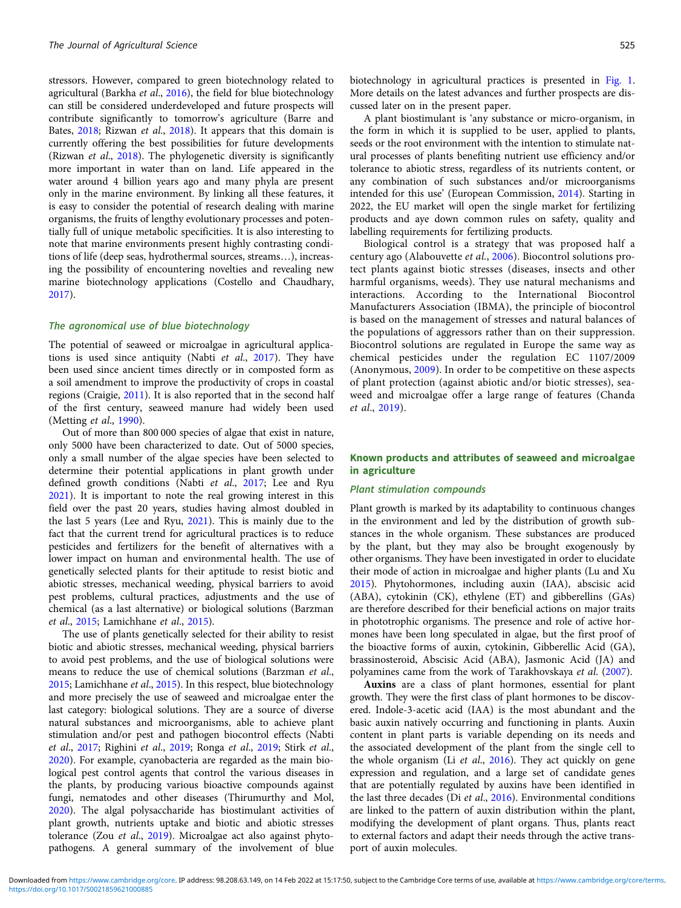stressors. However, compared to green biotechnology related to agricultural (Barkha *et al.*,  $2016$ ), the field for blue biotechnology can still be considered underdeveloped and future prospects will contribute significantly to tomorrow's agriculture (Barre and Bates, [2018](#page-9-0); Rizwan et al., [2018](#page-10-0)). It appears that this domain is currently offering the best possibilities for future developments (Rizwan et al., [2018\)](#page-10-0). The phylogenetic diversity is significantly more important in water than on land. Life appeared in the water around 4 billion years ago and many phyla are present only in the marine environment. By linking all these features, it is easy to consider the potential of research dealing with marine organisms, the fruits of lengthy evolutionary processes and potentially full of unique metabolic specificities. It is also interesting to note that marine environments present highly contrasting conditions of life (deep seas, hydrothermal sources, streams…), increasing the possibility of encountering novelties and revealing new marine biotechnology applications (Costello and Chaudhary, [2017\)](#page-9-0).

#### The agronomical use of blue biotechnology

The potential of seaweed or microalgae in agricultural applica-tions is used since antiquity (Nabti et al., [2017](#page-10-0)). They have been used since ancient times directly or in composted form as a soil amendment to improve the productivity of crops in coastal regions (Craigie, [2011](#page-9-0)). It is also reported that in the second half of the first century, seaweed manure had widely been used (Metting et al., [1990](#page-10-0)).

Out of more than 800 000 species of algae that exist in nature, only 5000 have been characterized to date. Out of 5000 species, only a small number of the algae species have been selected to determine their potential applications in plant growth under defined growth conditions (Nabti et al., [2017;](#page-10-0) Lee and Ryu [2021\)](#page-10-0). It is important to note the real growing interest in this field over the past 20 years, studies having almost doubled in the last 5 years (Lee and Ryu, [2021](#page-10-0)). This is mainly due to the fact that the current trend for agricultural practices is to reduce pesticides and fertilizers for the benefit of alternatives with a lower impact on human and environmental health. The use of genetically selected plants for their aptitude to resist biotic and abiotic stresses, mechanical weeding, physical barriers to avoid pest problems, cultural practices, adjustments and the use of chemical (as a last alternative) or biological solutions (Barzman et al., [2015;](#page-9-0) Lamichhane et al., [2015](#page-10-0)).

The use of plants genetically selected for their ability to resist biotic and abiotic stresses, mechanical weeding, physical barriers to avoid pest problems, and the use of biological solutions were means to reduce the use of chemical solutions (Barzman et al., [2015;](#page-9-0) Lamichhane et al., [2015\)](#page-10-0). In this respect, blue biotechnology and more precisely the use of seaweed and microalgae enter the last category: biological solutions. They are a source of diverse natural substances and microorganisms, able to achieve plant stimulation and/or pest and pathogen biocontrol effects (Nabti et al., [2017;](#page-10-0) Righini et al., [2019;](#page-10-0) Ronga et al., [2019](#page-10-0); Stirk et al., [2020\)](#page-11-0). For example, cyanobacteria are regarded as the main biological pest control agents that control the various diseases in the plants, by producing various bioactive compounds against fungi, nematodes and other diseases (Thirumurthy and Mol, [2020\)](#page-11-0). The algal polysaccharide has biostimulant activities of plant growth, nutrients uptake and biotic and abiotic stresses tolerance (Zou et al., [2019](#page-11-0)). Microalgae act also against phytopathogens. A general summary of the involvement of blue

biotechnology in agricultural practices is presented in [Fig. 1](#page-3-0). More details on the latest advances and further prospects are discussed later on in the present paper.

A plant biostimulant is 'any substance or micro-organism, in the form in which it is supplied to be user, applied to plants, seeds or the root environment with the intention to stimulate natural processes of plants benefiting nutrient use efficiency and/or tolerance to abiotic stress, regardless of its nutrients content, or any combination of such substances and/or microorganisms intended for this use' (European Commission, [2014](#page-9-0)). Starting in 2022, the EU market will open the single market for fertilizing products and aye down common rules on safety, quality and labelling requirements for fertilizing products.

Biological control is a strategy that was proposed half a century ago (Alabouvette et al., [2006](#page-8-0)). Biocontrol solutions protect plants against biotic stresses (diseases, insects and other harmful organisms, weeds). They use natural mechanisms and interactions. According to the International Biocontrol Manufacturers Association (IBMA), the principle of biocontrol is based on the management of stresses and natural balances of the populations of aggressors rather than on their suppression. Biocontrol solutions are regulated in Europe the same way as chemical pesticides under the regulation EC 1107/2009 (Anonymous, [2009\)](#page-8-0). In order to be competitive on these aspects of plant protection (against abiotic and/or biotic stresses), seaweed and microalgae offer a large range of features (Chanda et al., [2019\)](#page-9-0).

# Known products and attributes of seaweed and microalgae in agriculture

#### Plant stimulation compounds

Plant growth is marked by its adaptability to continuous changes in the environment and led by the distribution of growth substances in the whole organism. These substances are produced by the plant, but they may also be brought exogenously by other organisms. They have been investigated in order to elucidate their mode of action in microalgae and higher plants (Lu and Xu [2015](#page-10-0)). Phytohormones, including auxin (IAA), abscisic acid (ABA), cytokinin (CK), ethylene (ET) and gibberellins (GAs) are therefore described for their beneficial actions on major traits in phototrophic organisms. The presence and role of active hormones have been long speculated in algae, but the first proof of the bioactive forms of auxin, cytokinin, Gibberellic Acid (GA), brassinosteroid, Abscisic Acid (ABA), Jasmonic Acid (JA) and polyamines came from the work of Tarakhovskaya et al. ([2007\)](#page-11-0).

Auxins are a class of plant hormones, essential for plant growth. They were the first class of plant hormones to be discovered. Indole-3-acetic acid (IAA) is the most abundant and the basic auxin natively occurring and functioning in plants. Auxin content in plant parts is variable depending on its needs and the associated development of the plant from the single cell to the whole organism (Li et al., [2016](#page-10-0)). They act quickly on gene expression and regulation, and a large set of candidate genes that are potentially regulated by auxins have been identified in the last three decades (Di et al., [2016\)](#page-9-0). Environmental conditions are linked to the pattern of auxin distribution within the plant, modifying the development of plant organs. Thus, plants react to external factors and adapt their needs through the active transport of auxin molecules.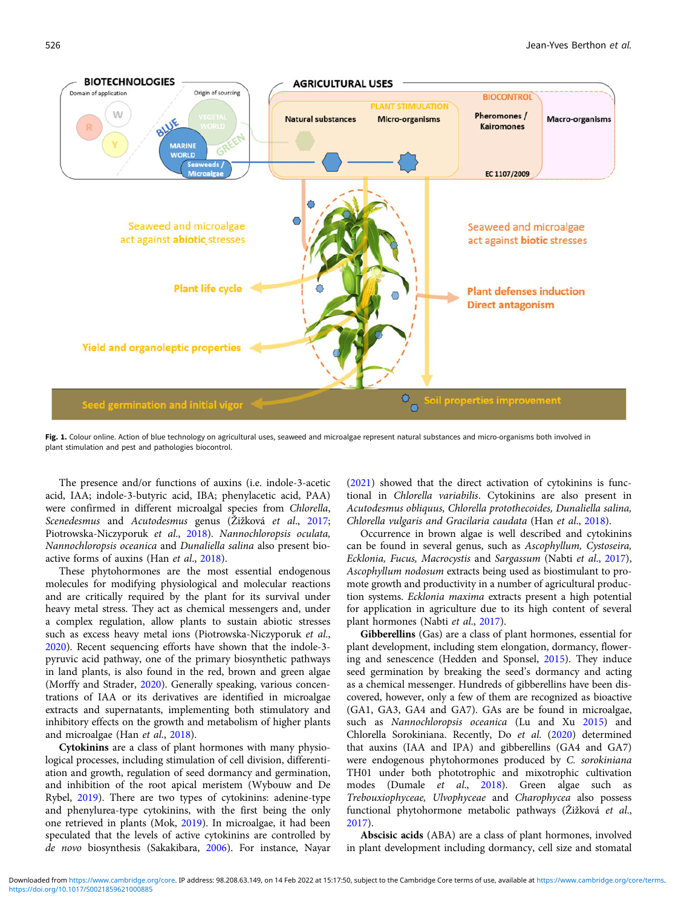<span id="page-3-0"></span>

Fig. 1. Colour online. Action of blue technology on agricultural uses, seaweed and microalgae represent natural substances and micro-organisms both involved in plant stimulation and pest and pathologies biocontrol.

The presence and/or functions of auxins (i.e. indole-3-acetic acid, IAA; indole-3-butyric acid, IBA; phenylacetic acid, PAA) were confirmed in different microalgal species from Chlorella, Scenedesmus and Acutodesmus genus (Žižková et al., [2017](#page-11-0); Piotrowska-Niczyporuk et al., [2018](#page-10-0)). Nannochloropsis oculata, Nannochloropsis oceanica and Dunaliella salina also present bioactive forms of auxins (Han et al., [2018](#page-9-0)).

These phytohormones are the most essential endogenous molecules for modifying physiological and molecular reactions and are critically required by the plant for its survival under heavy metal stress. They act as chemical messengers and, under a complex regulation, allow plants to sustain abiotic stresses such as excess heavy metal ions (Piotrowska-Niczyporuk et al., [2020\)](#page-10-0). Recent sequencing efforts have shown that the indole-3 pyruvic acid pathway, one of the primary biosynthetic pathways in land plants, is also found in the red, brown and green algae (Morffy and Strader, [2020](#page-10-0)). Generally speaking, various concentrations of IAA or its derivatives are identified in microalgae extracts and supernatants, implementing both stimulatory and inhibitory effects on the growth and metabolism of higher plants and microalgae (Han et al., [2018\)](#page-9-0).

Cytokinins are a class of plant hormones with many physiological processes, including stimulation of cell division, differentiation and growth, regulation of seed dormancy and germination, and inhibition of the root apical meristem (Wybouw and De Rybel, [2019\)](#page-11-0). There are two types of cytokinins: adenine-type and phenylurea-type cytokinins, with the first being the only one retrieved in plants (Mok, [2019\)](#page-10-0). In microalgae, it had been speculated that the levels of active cytokinins are controlled by de novo biosynthesis (Sakakibara, [2006](#page-11-0)). For instance, Nayar

([2021\)](#page-10-0) showed that the direct activation of cytokinins is functional in Chlorella variabilis. Cytokinins are also present in Acutodesmus obliquus, Chlorella protothecoides, Dunaliella salina, Chlorella vulgaris and Gracilaria caudata (Han et al., [2018\)](#page-9-0).

Occurrence in brown algae is well described and cytokinins can be found in several genus, such as Ascophyllum, Cystoseira, Ecklonia, Fucus, Macrocystis and Sargassum (Nabti et al., [2017](#page-10-0)), Ascophyllum nodosum extracts being used as biostimulant to promote growth and productivity in a number of agricultural production systems. Ecklonia maxima extracts present a high potential for application in agriculture due to its high content of several plant hormones (Nabti et al., [2017\)](#page-10-0).

Gibberellins (Gas) are a class of plant hormones, essential for plant development, including stem elongation, dormancy, flowering and senescence (Hedden and Sponsel, [2015](#page-9-0)). They induce seed germination by breaking the seed's dormancy and acting as a chemical messenger. Hundreds of gibberellins have been discovered, however, only a few of them are recognized as bioactive (GA1, GA3, GA4 and GA7). GAs are be found in microalgae, such as Nannochloropsis oceanica (Lu and Xu [2015](#page-10-0)) and Chlorella Sorokiniana. Recently, Do et al. [\(2020\)](#page-9-0) determined that auxins (IAA and IPA) and gibberellins (GA4 and GA7) were endogenous phytohormones produced by C. sorokiniana TH01 under both phototrophic and mixotrophic cultivation modes (Dumale et al., [2018\)](#page-9-0). Green algae such as Trebouxiophyceae, Ulvophyceae and Charophycea also possess functional phytohormone metabolic pathways (Žižková et al., [2017\)](#page-11-0).

Abscisic acids (ABA) are a class of plant hormones, involved in plant development including dormancy, cell size and stomatal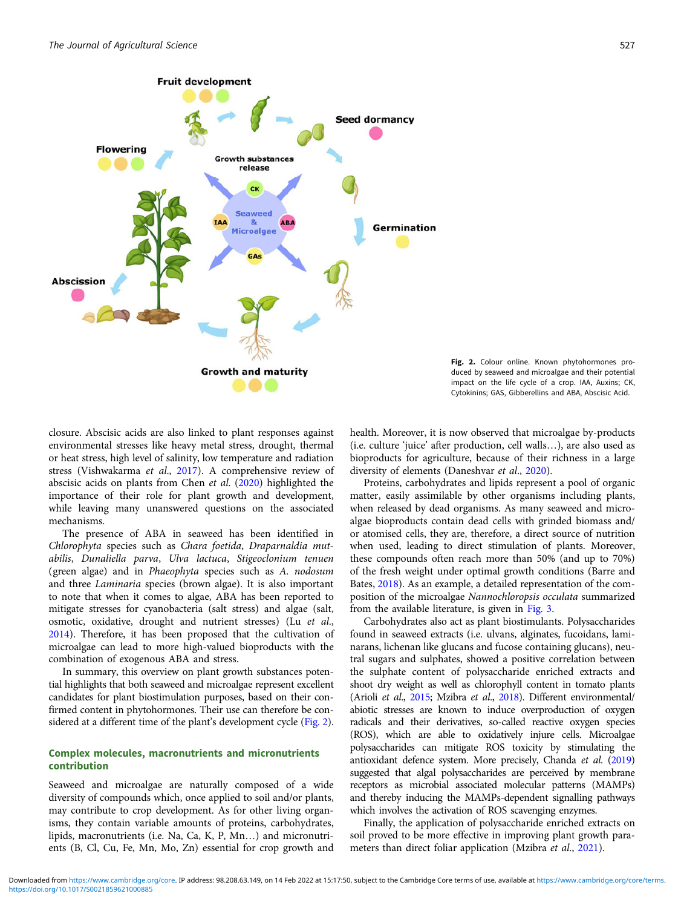

Fig. 2. Colour online. Known phytohormones produced by seaweed and microalgae and their potential impact on the life cycle of a crop. IAA, Auxins; CK, Cytokinins; GAS, Gibberellins and ABA, Abscisic Acid.

closure. Abscisic acids are also linked to plant responses against environmental stresses like heavy metal stress, drought, thermal or heat stress, high level of salinity, low temperature and radiation stress (Vishwakarma et al., [2017\)](#page-11-0). A comprehensive review of abscisic acids on plants from Chen et al. ([2020\)](#page-9-0) highlighted the importance of their role for plant growth and development, while leaving many unanswered questions on the associated mechanisms.

The presence of ABA in seaweed has been identified in Chlorophyta species such as Chara foetida, Draparnaldia mutabilis, Dunaliella parva, Ulva lactuca, Stigeoclonium tenuen (green algae) and in Phaeophyta species such as A. nodosum and three Laminaria species (brown algae). It is also important to note that when it comes to algae, ABA has been reported to mitigate stresses for cyanobacteria (salt stress) and algae (salt, osmotic, oxidative, drought and nutrient stresses) (Lu et al., [2014\)](#page-10-0). Therefore, it has been proposed that the cultivation of microalgae can lead to more high-valued bioproducts with the combination of exogenous ABA and stress.

In summary, this overview on plant growth substances potential highlights that both seaweed and microalgae represent excellent candidates for plant biostimulation purposes, based on their confirmed content in phytohormones. Their use can therefore be considered at a different time of the plant's development cycle (Fig. 2).

# Complex molecules, macronutrients and micronutrients contribution

Seaweed and microalgae are naturally composed of a wide diversity of compounds which, once applied to soil and/or plants, may contribute to crop development. As for other living organisms, they contain variable amounts of proteins, carbohydrates, lipids, macronutrients (i.e. Na, Ca, K, P, Mn…) and micronutrients (B, Cl, Cu, Fe, Mn, Mo, Zn) essential for crop growth and health. Moreover, it is now observed that microalgae by-products (i.e. culture 'juice' after production, cell walls…), are also used as bioproducts for agriculture, because of their richness in a large diversity of elements (Daneshvar et al., [2020\)](#page-9-0).

Proteins, carbohydrates and lipids represent a pool of organic matter, easily assimilable by other organisms including plants, when released by dead organisms. As many seaweed and microalgae bioproducts contain dead cells with grinded biomass and/ or atomised cells, they are, therefore, a direct source of nutrition when used, leading to direct stimulation of plants. Moreover, these compounds often reach more than 50% (and up to 70%) of the fresh weight under optimal growth conditions (Barre and Bates, [2018\)](#page-9-0). As an example, a detailed representation of the composition of the microalgae Nannochloropsis occulata summarized from the available literature, is given in [Fig. 3.](#page-5-0)

Carbohydrates also act as plant biostimulants. Polysaccharides found in seaweed extracts (i.e. ulvans, alginates, fucoidans, laminarans, lichenan like glucans and fucose containing glucans), neutral sugars and sulphates, showed a positive correlation between the sulphate content of polysaccharide enriched extracts and shoot dry weight as well as chlorophyll content in tomato plants (Arioli et al., [2015](#page-9-0); Mzibra et al., [2018\)](#page-10-0). Different environmental/ abiotic stresses are known to induce overproduction of oxygen radicals and their derivatives, so-called reactive oxygen species (ROS), which are able to oxidatively injure cells. Microalgae polysaccharides can mitigate ROS toxicity by stimulating the antioxidant defence system. More precisely, Chanda et al. ([2019](#page-9-0)) suggested that algal polysaccharides are perceived by membrane receptors as microbial associated molecular patterns (MAMPs) and thereby inducing the MAMPs-dependent signalling pathways which involves the activation of ROS scavenging enzymes.

Finally, the application of polysaccharide enriched extracts on soil proved to be more effective in improving plant growth parameters than direct foliar application (Mzibra et al., [2021\)](#page-10-0).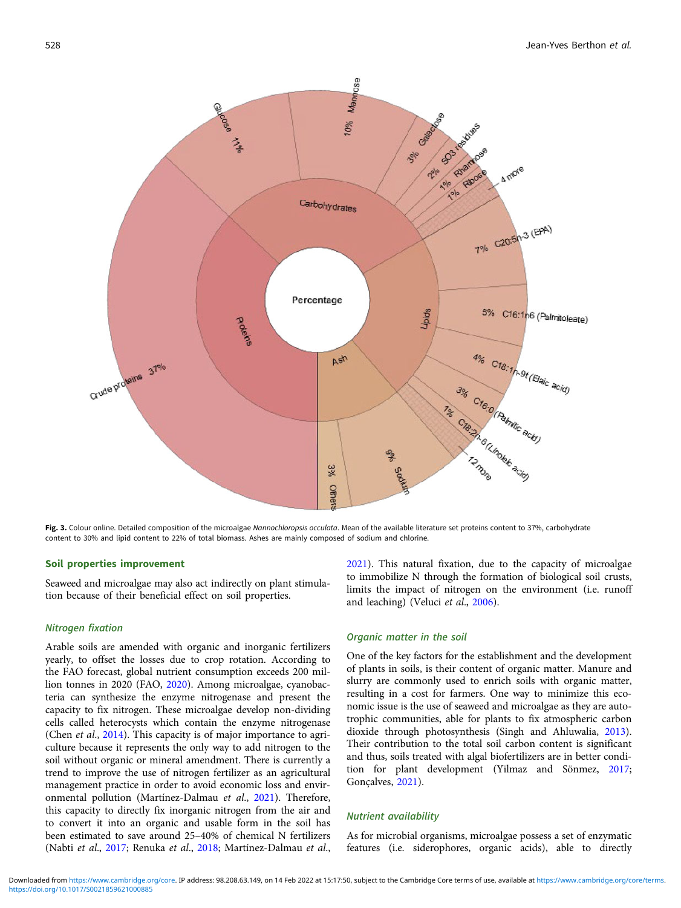<span id="page-5-0"></span>

Fig. 3. Colour online. Detailed composition of the microalgae Nannochloropsis occulata. Mean of the available literature set proteins content to 37%, carbohydrate content to 30% and lipid content to 22% of total biomass. Ashes are mainly composed of sodium and chlorine.

#### Soil properties improvement

Seaweed and microalgae may also act indirectly on plant stimulation because of their beneficial effect on soil properties.

### Nitrogen fixation

Arable soils are amended with organic and inorganic fertilizers yearly, to offset the losses due to crop rotation. According to the FAO forecast, global nutrient consumption exceeds 200 million tonnes in 2020 (FAO, [2020\)](#page-9-0). Among microalgae, cyanobacteria can synthesize the enzyme nitrogenase and present the capacity to fix nitrogen. These microalgae develop non-dividing cells called heterocysts which contain the enzyme nitrogenase (Chen *et al.*, [2014](#page-9-0)). This capacity is of major importance to agriculture because it represents the only way to add nitrogen to the soil without organic or mineral amendment. There is currently a trend to improve the use of nitrogen fertilizer as an agricultural management practice in order to avoid economic loss and environmental pollution (Martínez-Dalmau et al., [2021](#page-10-0)). Therefore, this capacity to directly fix inorganic nitrogen from the air and to convert it into an organic and usable form in the soil has been estimated to save around 25–40% of chemical N fertilizers (Nabti et al., [2017](#page-10-0); Renuka et al., [2018;](#page-10-0) Martínez-Dalmau et al., [2021\)](#page-10-0). This natural fixation, due to the capacity of microalgae to immobilize N through the formation of biological soil crusts, limits the impact of nitrogen on the environment (i.e. runoff and leaching) (Veluci et al., [2006](#page-11-0)).

### Organic matter in the soil

One of the key factors for the establishment and the development of plants in soils, is their content of organic matter. Manure and slurry are commonly used to enrich soils with organic matter, resulting in a cost for farmers. One way to minimize this economic issue is the use of seaweed and microalgae as they are autotrophic communities, able for plants to fix atmospheric carbon dioxide through photosynthesis (Singh and Ahluwalia, [2013](#page-11-0)). Their contribution to the total soil carbon content is significant and thus, soils treated with algal biofertilizers are in better condition for plant development (Yilmaz and Sönmez, [2017;](#page-11-0) Gonçalves, [2021\)](#page-9-0).

# Nutrient availability

As for microbial organisms, microalgae possess a set of enzymatic features (i.e. siderophores, organic acids), able to directly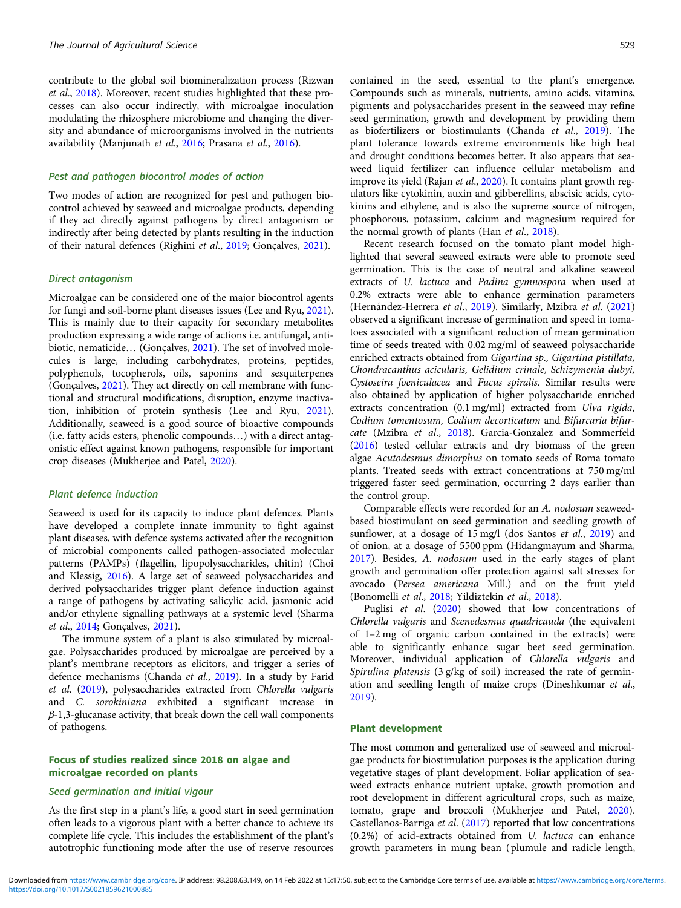contribute to the global soil biomineralization process (Rizwan et al., [2018](#page-10-0)). Moreover, recent studies highlighted that these processes can also occur indirectly, with microalgae inoculation modulating the rhizosphere microbiome and changing the diversity and abundance of microorganisms involved in the nutrients availability (Manjunath et al., [2016](#page-10-0); Prasana et al., [2016\)](#page-10-0).

# Pest and pathogen biocontrol modes of action

Two modes of action are recognized for pest and pathogen biocontrol achieved by seaweed and microalgae products, depending if they act directly against pathogens by direct antagonism or indirectly after being detected by plants resulting in the induction of their natural defences (Righini et al., [2019](#page-10-0); Gonçalves, [2021\)](#page-9-0).

#### Direct antagonism

Microalgae can be considered one of the major biocontrol agents for fungi and soil-borne plant diseases issues (Lee and Ryu, [2021\)](#page-10-0). This is mainly due to their capacity for secondary metabolites production expressing a wide range of actions i.e. antifungal, antibiotic, nematicide… (Gonçalves, [2021\)](#page-9-0). The set of involved molecules is large, including carbohydrates, proteins, peptides, polyphenols, tocopherols, oils, saponins and sesquiterpenes (Gonçalves, [2021](#page-9-0)). They act directly on cell membrane with functional and structural modifications, disruption, enzyme inactivation, inhibition of protein synthesis (Lee and Ryu, [2021\)](#page-10-0). Additionally, seaweed is a good source of bioactive compounds (i.e. fatty acids esters, phenolic compounds…) with a direct antagonistic effect against known pathogens, responsible for important crop diseases (Mukherjee and Patel, [2020](#page-10-0)).

### Plant defence induction

Seaweed is used for its capacity to induce plant defences. Plants have developed a complete innate immunity to fight against plant diseases, with defence systems activated after the recognition of microbial components called pathogen-associated molecular patterns (PAMPs) (flagellin, lipopolysaccharides, chitin) (Choi and Klessig, [2016\)](#page-9-0). A large set of seaweed polysaccharides and derived polysaccharides trigger plant defence induction against a range of pathogens by activating salicylic acid, jasmonic acid and/or ethylene signalling pathways at a systemic level (Sharma et al., [2014;](#page-11-0) Gonçalves, [2021](#page-9-0)).

The immune system of a plant is also stimulated by microalgae. Polysaccharides produced by microalgae are perceived by a plant's membrane receptors as elicitors, and trigger a series of defence mechanisms (Chanda et al., [2019](#page-9-0)). In a study by Farid et al. ([2019\)](#page-9-0), polysaccharides extracted from Chlorella vulgaris and C. sorokiniana exhibited a significant increase in  $\beta$ -1,3-glucanase activity, that break down the cell wall components of pathogens.

# Focus of studies realized since 2018 on algae and microalgae recorded on plants

# Seed germination and initial vigour

As the first step in a plant's life, a good start in seed germination often leads to a vigorous plant with a better chance to achieve its complete life cycle. This includes the establishment of the plant's autotrophic functioning mode after the use of reserve resources

contained in the seed, essential to the plant's emergence. Compounds such as minerals, nutrients, amino acids, vitamins, pigments and polysaccharides present in the seaweed may refine seed germination, growth and development by providing them as biofertilizers or biostimulants (Chanda et al., [2019\)](#page-9-0). The plant tolerance towards extreme environments like high heat and drought conditions becomes better. It also appears that seaweed liquid fertilizer can influence cellular metabolism and improve its yield (Rajan et al., [2020](#page-10-0)). It contains plant growth regulators like cytokinin, auxin and gibberellins, abscisic acids, cytokinins and ethylene, and is also the supreme source of nitrogen, phosphorous, potassium, calcium and magnesium required for the normal growth of plants (Han et al., [2018\)](#page-9-0).

Recent research focused on the tomato plant model highlighted that several seaweed extracts were able to promote seed germination. This is the case of neutral and alkaline seaweed extracts of U. lactuca and Padina gymnospora when used at 0.2% extracts were able to enhance germination parameters (Hernández-Herrera et al., [2019](#page-9-0)). Similarly, Mzibra et al. [\(2021](#page-10-0)) observed a significant increase of germination and speed in tomatoes associated with a significant reduction of mean germination time of seeds treated with 0.02 mg/ml of seaweed polysaccharide enriched extracts obtained from Gigartina sp., Gigartina pistillata, Chondracanthus acicularis, Gelidium crinale, Schizymenia dubyi, Cystoseira foeniculacea and Fucus spiralis. Similar results were also obtained by application of higher polysaccharide enriched extracts concentration (0.1 mg/ml) extracted from Ulva rigida, Codium tomentosum, Codium decorticatum and Bifurcaria bifurcate (Mzibra et al., [2018\)](#page-10-0). Garcia-Gonzalez and Sommerfeld [\(2016\)](#page-9-0) tested cellular extracts and dry biomass of the green algae Acutodesmus dimorphus on tomato seeds of Roma tomato plants. Treated seeds with extract concentrations at 750 mg/ml triggered faster seed germination, occurring 2 days earlier than the control group.

Comparable effects were recorded for an A. nodosum seaweedbased biostimulant on seed germination and seedling growth of sunflower, at a dosage of 15 mg/l (dos Santos et al., [2019](#page-9-0)) and of onion, at a dosage of 5500 ppm (Hidangmayum and Sharma, [2017](#page-9-0)). Besides, A. nodosum used in the early stages of plant growth and germination offer protection against salt stresses for avocado (Persea americana Mill.) and on the fruit yield (Bonomelli et al., [2018](#page-9-0); Yildiztekin et al., [2018](#page-11-0)).

Puglisi et al. ([2020](#page-10-0)) showed that low concentrations of Chlorella vulgaris and Scenedesmus quadricauda (the equivalent of 1–2 mg of organic carbon contained in the extracts) were able to significantly enhance sugar beet seed germination. Moreover, individual application of Chlorella vulgaris and Spirulina platensis (3 g/kg of soil) increased the rate of germination and seedling length of maize crops (Dineshkumar et al., [2019](#page-9-0)).

#### Plant development

The most common and generalized use of seaweed and microalgae products for biostimulation purposes is the application during vegetative stages of plant development. Foliar application of seaweed extracts enhance nutrient uptake, growth promotion and root development in different agricultural crops, such as maize, tomato, grape and broccoli (Mukherjee and Patel, [2020](#page-10-0)). Castellanos-Barriga et al. [\(2017](#page-9-0)) reported that low concentrations (0.2%) of acid-extracts obtained from U. lactuca can enhance growth parameters in mung bean (plumule and radicle length,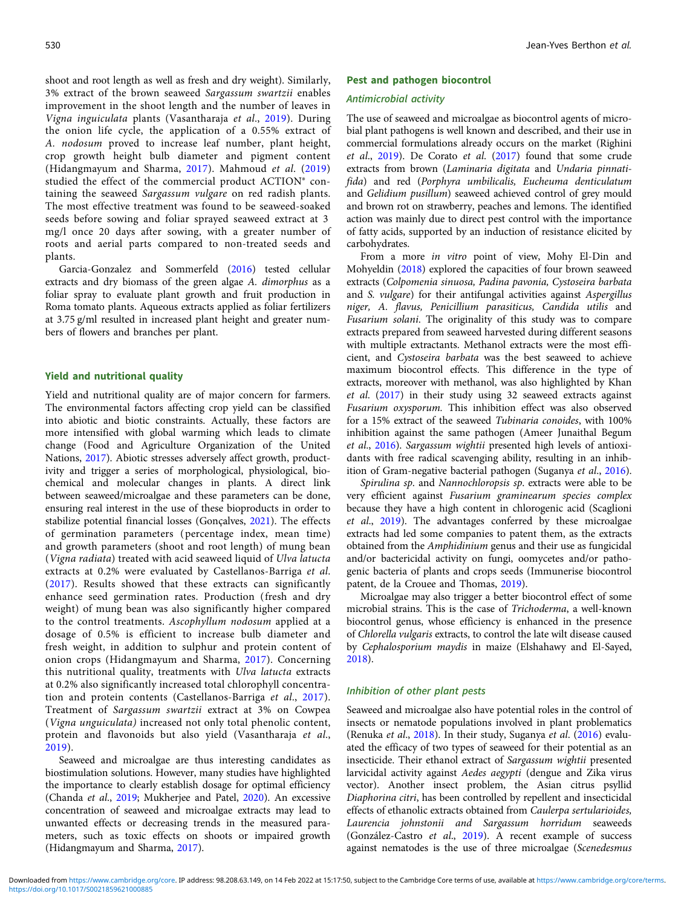shoot and root length as well as fresh and dry weight). Similarly, 3% extract of the brown seaweed Sargassum swartzii enables improvement in the shoot length and the number of leaves in Vigna inguiculata plants (Vasantharaja et al., [2019\)](#page-11-0). During the onion life cycle, the application of a 0.55% extract of A. nodosum proved to increase leaf number, plant height, crop growth height bulb diameter and pigment content (Hidangmayum and Sharma, [2017\)](#page-9-0). Mahmoud et al. ([2019\)](#page-10-0) studied the effect of the commercial product ACTION® containing the seaweed Sargassum vulgare on red radish plants. The most effective treatment was found to be seaweed-soaked seeds before sowing and foliar sprayed seaweed extract at 3 mg/l once 20 days after sowing, with a greater number of roots and aerial parts compared to non-treated seeds and plants.

Garcia-Gonzalez and Sommerfeld [\(2016\)](#page-9-0) tested cellular extracts and dry biomass of the green algae A. dimorphus as a foliar spray to evaluate plant growth and fruit production in Roma tomato plants. Aqueous extracts applied as foliar fertilizers at 3.75 g/ml resulted in increased plant height and greater numbers of flowers and branches per plant.

#### Yield and nutritional quality

Yield and nutritional quality are of major concern for farmers. The environmental factors affecting crop yield can be classified into abiotic and biotic constraints. Actually, these factors are more intensified with global warming which leads to climate change (Food and Agriculture Organization of the United Nations, [2017\)](#page-9-0). Abiotic stresses adversely affect growth, productivity and trigger a series of morphological, physiological, biochemical and molecular changes in plants. A direct link between seaweed/microalgae and these parameters can be done, ensuring real interest in the use of these bioproducts in order to stabilize potential financial losses (Gonçalves, [2021\)](#page-9-0). The effects of germination parameters ( percentage index, mean time) and growth parameters (shoot and root length) of mung bean (Vigna radiata) treated with acid seaweed liquid of Ulva latucta extracts at 0.2% were evaluated by Castellanos-Barriga et al. ([2017](#page-9-0)). Results showed that these extracts can significantly enhance seed germination rates. Production (fresh and dry weight) of mung bean was also significantly higher compared to the control treatments. Ascophyllum nodosum applied at a dosage of 0.5% is efficient to increase bulb diameter and fresh weight, in addition to sulphur and protein content of onion crops (Hidangmayum and Sharma, [2017](#page-9-0)). Concerning this nutritional quality, treatments with Ulva latucta extracts at 0.2% also significantly increased total chlorophyll concentration and protein contents (Castellanos-Barriga et al., [2017\)](#page-9-0). Treatment of Sargassum swartzii extract at 3% on Cowpea (Vigna unguiculata) increased not only total phenolic content, protein and flavonoids but also yield (Vasantharaja et al., [2019\)](#page-11-0).

Seaweed and microalgae are thus interesting candidates as biostimulation solutions. However, many studies have highlighted the importance to clearly establish dosage for optimal efficiency (Chanda et al., [2019;](#page-9-0) Mukherjee and Patel, [2020\)](#page-10-0). An excessive concentration of seaweed and microalgae extracts may lead to unwanted effects or decreasing trends in the measured parameters, such as toxic effects on shoots or impaired growth (Hidangmayum and Sharma, [2017](#page-9-0)).

#### Pest and pathogen biocontrol

#### Antimicrobial activity

The use of seaweed and microalgae as biocontrol agents of microbial plant pathogens is well known and described, and their use in commercial formulations already occurs on the market (Righini et al., [2019\)](#page-10-0). De Corato et al. ([2017\)](#page-9-0) found that some crude extracts from brown (Laminaria digitata and Undaria pinnatifida) and red (Porphyra umbilicalis, Eucheuma denticulatum and Gelidium pusillum) seaweed achieved control of grey mould and brown rot on strawberry, peaches and lemons. The identified action was mainly due to direct pest control with the importance of fatty acids, supported by an induction of resistance elicited by carbohydrates.

From a more in vitro point of view, Mohy El-Din and Mohyeldin ([2018](#page-10-0)) explored the capacities of four brown seaweed extracts (Colpomenia sinuosa, Padina pavonia, Cystoseira barbata and S. vulgare) for their antifungal activities against Aspergillus niger, A. flavus, Penicillium parasiticus, Candida utilis and Fusarium solani. The originality of this study was to compare extracts prepared from seaweed harvested during different seasons with multiple extractants. Methanol extracts were the most efficient, and Cystoseira barbata was the best seaweed to achieve maximum biocontrol effects. This difference in the type of extracts, moreover with methanol, was also highlighted by Khan et al. ([2017](#page-10-0)) in their study using 32 seaweed extracts against Fusarium oxysporum. This inhibition effect was also observed for a 15% extract of the seaweed Tubinaria conoides, with 100% inhibition against the same pathogen (Ameer Junaithal Begum et al., [2016](#page-8-0)). Sargassum wightii presented high levels of antioxidants with free radical scavenging ability, resulting in an inhibition of Gram-negative bacterial pathogen (Suganya et al., [2016](#page-11-0)).

Spirulina sp. and Nannochloropsis sp. extracts were able to be very efficient against Fusarium graminearum species complex because they have a high content in chlorogenic acid (Scaglioni et al., [2019\)](#page-11-0). The advantages conferred by these microalgae extracts had led some companies to patent them, as the extracts obtained from the Amphidinium genus and their use as fungicidal and/or bactericidal activity on fungi, oomycetes and/or pathogenic bacteria of plants and crops seeds (Immunerise biocontrol patent, de la Crouee and Thomas, [2019](#page-9-0)).

Microalgae may also trigger a better biocontrol effect of some microbial strains. This is the case of Trichoderma, a well-known biocontrol genus, whose efficiency is enhanced in the presence of Chlorella vulgaris extracts, to control the late wilt disease caused by Cephalosporium maydis in maize (Elshahawy and El-Sayed, [2018\)](#page-9-0).

#### Inhibition of other plant pests

Seaweed and microalgae also have potential roles in the control of insects or nematode populations involved in plant problematics (Renuka et al., [2018](#page-10-0)). In their study, Suganya et al. [\(2016](#page-11-0)) evaluated the efficacy of two types of seaweed for their potential as an insecticide. Their ethanol extract of Sargassum wightii presented larvicidal activity against Aedes aegypti (dengue and Zika virus vector). Another insect problem, the Asian citrus psyllid Diaphorina citri, has been controlled by repellent and insecticidal effects of ethanolic extracts obtained from Caulerpa sertularioides, Laurencia johnstonii and Sargassum horridum seaweeds (González-Castro et al., [2019\)](#page-9-0). A recent example of success against nematodes is the use of three microalgae (Scenedesmus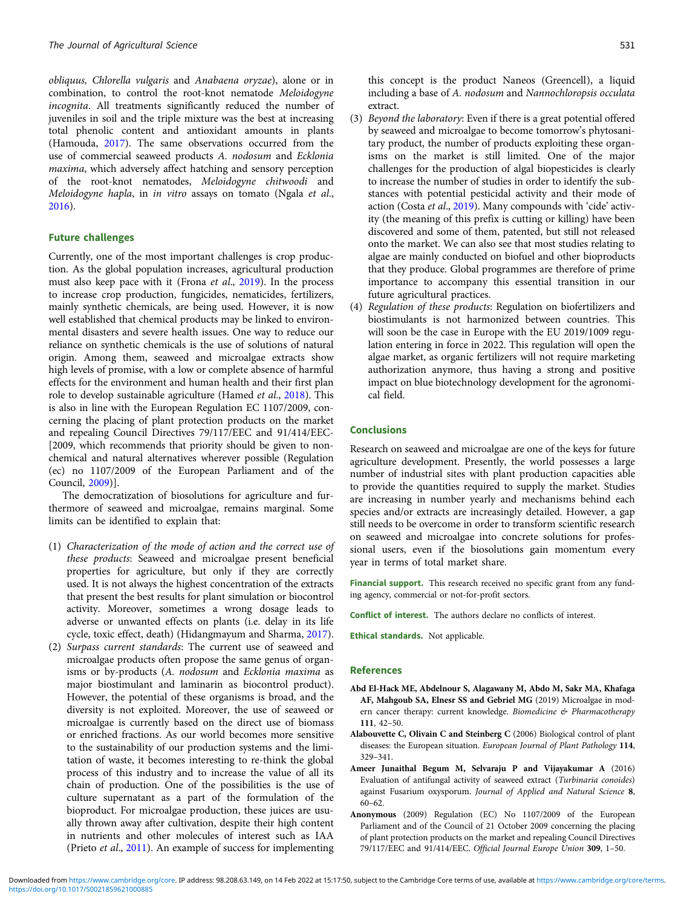<span id="page-8-0"></span>obliquus, Chlorella vulgaris and Anabaena oryzae), alone or in combination, to control the root-knot nematode Meloidogyne incognita. All treatments significantly reduced the number of juveniles in soil and the triple mixture was the best at increasing total phenolic content and antioxidant amounts in plants (Hamouda, [2017](#page-9-0)). The same observations occurred from the use of commercial seaweed products A. nodosum and Ecklonia maxima, which adversely affect hatching and sensory perception of the root-knot nematodes, Meloidogyne chitwoodi and Meloidogyne hapla, in in vitro assays on tomato (Ngala et al., [2016\)](#page-10-0).

## Future challenges

Currently, one of the most important challenges is crop production. As the global population increases, agricultural production must also keep pace with it (Frona et al., [2019](#page-9-0)). In the process to increase crop production, fungicides, nematicides, fertilizers, mainly synthetic chemicals, are being used. However, it is now well established that chemical products may be linked to environmental disasters and severe health issues. One way to reduce our reliance on synthetic chemicals is the use of solutions of natural origin. Among them, seaweed and microalgae extracts show high levels of promise, with a low or complete absence of harmful effects for the environment and human health and their first plan role to develop sustainable agriculture (Hamed et al., [2018\)](#page-9-0). This is also in line with the European Regulation EC 1107/2009, concerning the placing of plant protection products on the market and repealing Council Directives 79/117/EEC and 91/414/EEC- [2009, which recommends that priority should be given to nonchemical and natural alternatives wherever possible (Regulation (ec) no 1107/2009 of the European Parliament and of the Council, [2009\)](#page-10-0)].

The democratization of biosolutions for agriculture and furthermore of seaweed and microalgae, remains marginal. Some limits can be identified to explain that:

- (1) Characterization of the mode of action and the correct use of these products: Seaweed and microalgae present beneficial properties for agriculture, but only if they are correctly used. It is not always the highest concentration of the extracts that present the best results for plant simulation or biocontrol activity. Moreover, sometimes a wrong dosage leads to adverse or unwanted effects on plants (i.e. delay in its life cycle, toxic effect, death) (Hidangmayum and Sharma, [2017\)](#page-9-0).
- (2) Surpass current standards: The current use of seaweed and microalgae products often propose the same genus of organisms or by-products (A. nodosum and Ecklonia maxima as major biostimulant and laminarin as biocontrol product). However, the potential of these organisms is broad, and the diversity is not exploited. Moreover, the use of seaweed or microalgae is currently based on the direct use of biomass or enriched fractions. As our world becomes more sensitive to the sustainability of our production systems and the limitation of waste, it becomes interesting to re-think the global process of this industry and to increase the value of all its chain of production. One of the possibilities is the use of culture supernatant as a part of the formulation of the bioproduct. For microalgae production, these juices are usually thrown away after cultivation, despite their high content in nutrients and other molecules of interest such as IAA (Prieto et al., [2011\)](#page-10-0). An example of success for implementing

this concept is the product Naneos (Greencell), a liquid including a base of A. nodosum and Nannochloropsis occulata extract.

- (3) Beyond the laboratory: Even if there is a great potential offered by seaweed and microalgae to become tomorrow's phytosanitary product, the number of products exploiting these organisms on the market is still limited. One of the major challenges for the production of algal biopesticides is clearly to increase the number of studies in order to identify the substances with potential pesticidal activity and their mode of action (Costa et al., [2019\)](#page-9-0). Many compounds with 'cide' activity (the meaning of this prefix is cutting or killing) have been discovered and some of them, patented, but still not released onto the market. We can also see that most studies relating to algae are mainly conducted on biofuel and other bioproducts that they produce. Global programmes are therefore of prime importance to accompany this essential transition in our future agricultural practices.
- (4) Regulation of these products: Regulation on biofertilizers and biostimulants is not harmonized between countries. This will soon be the case in Europe with the EU 2019/1009 regulation entering in force in 2022. This regulation will open the algae market, as organic fertilizers will not require marketing authorization anymore, thus having a strong and positive impact on blue biotechnology development for the agronomical field.

# Conclusions

Research on seaweed and microalgae are one of the keys for future agriculture development. Presently, the world possesses a large number of industrial sites with plant production capacities able to provide the quantities required to supply the market. Studies are increasing in number yearly and mechanisms behind each species and/or extracts are increasingly detailed. However, a gap still needs to be overcome in order to transform scientific research on seaweed and microalgae into concrete solutions for professional users, even if the biosolutions gain momentum every year in terms of total market share.

Financial support. This research received no specific grant from any funding agency, commercial or not-for-profit sectors.

Conflict of interest. The authors declare no conflicts of interest.

Ethical standards. Not applicable.

#### References

- Abd El-Hack ME, Abdelnour S, Alagawany M, Abdo M, Sakr MA, Khafaga AF, Mahgoub SA, Elnesr SS and Gebriel MG (2019) Microalgae in modern cancer therapy: current knowledge. Biomedicine & Pharmacotherapy 111, 42–50.
- Alabouvette C, Olivain C and Steinberg C (2006) Biological control of plant diseases: the European situation. European Journal of Plant Pathology 114, 329–341.
- Ameer Junaithal Begum M, Selvaraju P and Vijayakumar A (2016) Evaluation of antifungal activity of seaweed extract (Turbinaria conoides) against Fusarium oxysporum. Journal of Applied and Natural Science 8, 60–62.
- Anonymous (2009) Regulation (EC) No 1107/2009 of the European Parliament and of the Council of 21 October 2009 concerning the placing of plant protection products on the market and repealing Council Directives 79/117/EEC and 91/414/EEC. Official Journal Europe Union 309, 1–50.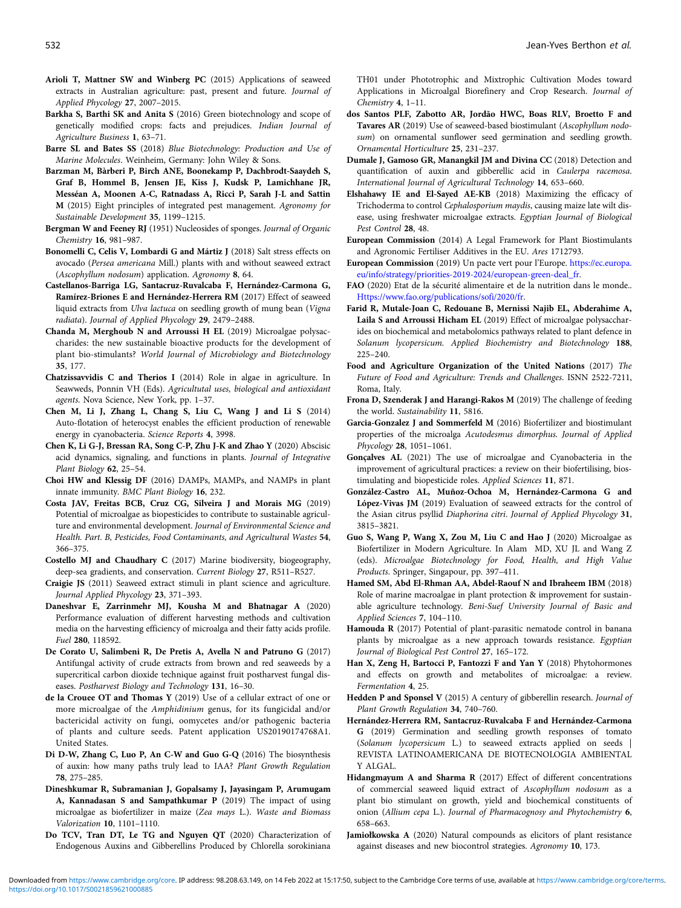- <span id="page-9-0"></span>Arioli T, Mattner SW and Winberg PC (2015) Applications of seaweed extracts in Australian agriculture: past, present and future. Journal of Applied Phycology 27, 2007–2015.
- Barkha S, Barthi SK and Anita S (2016) Green biotechnology and scope of genetically modified crops: facts and prejudices. Indian Journal of Agriculture Business 1, 63–71.
- Barre SL and Bates SS (2018) Blue Biotechnology: Production and Use of Marine Molecules. Weinheim, Germany: John Wiley & Sons.
- Barzman M, Bàrberi P, Birch ANE, Boonekamp P, Dachbrodt-Saaydeh S, Graf B, Hommel B, Jensen JE, Kiss J, Kudsk P, Lamichhane JR, Messéan A, Moonen A-C, Ratnadass A, Ricci P, Sarah J-L and Sattin M (2015) Eight principles of integrated pest management. Agronomy for Sustainable Development 35, 1199–1215.
- Bergman W and Feeney RJ (1951) Nucleosides of sponges. Journal of Organic Chemistry 16, 981–987.
- Bonomelli C, Celis V, Lombardi G and Mártiz J (2018) Salt stress effects on avocado (Persea americana Mill.) plants with and without seaweed extract (Ascophyllum nodosum) application. Agronomy 8, 64.
- Castellanos-Barriga LG, Santacruz-Ruvalcaba F, Hernández-Carmona G, Ramírez-Briones E and Hernández-Herrera RM (2017) Effect of seaweed liquid extracts from Ulva lactuca on seedling growth of mung bean (Vigna radiata). Journal of Applied Phycology 29, 2479–2488.
- Chanda M, Merghoub N and Arroussi H EL (2019) Microalgae polysaccharides: the new sustainable bioactive products for the development of plant bio-stimulants? World Journal of Microbiology and Biotechnology 35, 177.
- Chatzissavvidis C and Therios I (2014) Role in algae in agriculture. In Seawweds, Ponnin VH (Eds). Agricultutal uses, biological and antioxidant agents. Nova Science, New York, pp. 1–37.
- Chen M, Li J, Zhang L, Chang S, Liu C, Wang J and Li S (2014) Auto-flotation of heterocyst enables the efficient production of renewable energy in cyanobacteria. Science Reports 4, 3998.
- Chen K, Li G-J, Bressan RA, Song C-P, Zhu J-K and Zhao Y (2020) Abscisic acid dynamics, signaling, and functions in plants. Journal of Integrative Plant Biology 62, 25–54.
- Choi HW and Klessig DF (2016) DAMPs, MAMPs, and NAMPs in plant innate immunity. BMC Plant Biology 16, 232.
- Costa JAV, Freitas BCB, Cruz CG, Silveira J and Morais MG (2019) Potential of microalgae as biopesticides to contribute to sustainable agriculture and environmental development. Journal of Environmental Science and Health. Part. B, Pesticides, Food Contaminants, and Agricultural Wastes 54, 366–375.
- Costello MJ and Chaudhary C (2017) Marine biodiversity, biogeography, deep-sea gradients, and conservation. Current Biology 27, R511–R527.
- Craigie JS (2011) Seaweed extract stimuli in plant science and agriculture. Journal Applied Phycology 23, 371–393.
- Daneshvar E, Zarrinmehr MJ, Kousha M and Bhatnagar A (2020) Performance evaluation of different harvesting methods and cultivation media on the harvesting efficiency of microalga and their fatty acids profile. Fuel 280, 118592.
- De Corato U, Salimbeni R, De Pretis A, Avella N and Patruno G (2017) Antifungal activity of crude extracts from brown and red seaweeds by a supercritical carbon dioxide technique against fruit postharvest fungal diseases. Postharvest Biology and Technology 131, 16–30.
- de la Crouee OT and Thomas Y (2019) Use of a cellular extract of one or more microalgae of the Amphidinium genus, for its fungicidal and/or bactericidal activity on fungi, oomycetes and/or pathogenic bacteria of plants and culture seeds. Patent application US20190174768A1. United States.
- Di D-W, Zhang C, Luo P, An C-W and Guo G-Q (2016) The biosynthesis of auxin: how many paths truly lead to IAA? Plant Growth Regulation 78, 275–285.
- Dineshkumar R, Subramanian J, Gopalsamy J, Jayasingam P, Arumugam A, Kannadasan S and Sampathkumar P (2019) The impact of using microalgae as biofertilizer in maize (Zea mays L.). Waste and Biomass Valorization 10, 1101–1110.
- Do TCV, Tran DT, Le TG and Nguyen QT (2020) Characterization of Endogenous Auxins and Gibberellins Produced by Chlorella sorokiniana

TH01 under Phototrophic and Mixtrophic Cultivation Modes toward Applications in Microalgal Biorefinery and Crop Research. Journal of Chemistry 4, 1–11.

- dos Santos PLF, Zabotto AR, Jordão HWC, Boas RLV, Broetto F and Tavares AR (2019) Use of seaweed-based biostimulant (Ascophyllum nodosum) on ornamental sunflower seed germination and seedling growth. Ornamental Horticulture 25, 231–237.
- Dumale J, Gamoso GR, Manangkil JM and Divina CC (2018) Detection and quantification of auxin and gibberellic acid in Caulerpa racemosa. International Journal of Agricultural Technology 14, 653–660.
- Elshahawy IE and El-Sayed AE-KB (2018) Maximizing the efficacy of Trichoderma to control Cephalosporium maydis, causing maize late wilt disease, using freshwater microalgae extracts. Egyptian Journal of Biological Pest Control 28, 48.
- European Commission (2014) A Legal Framework for Plant Biostimulants and Agronomic Fertiliser Additives in the EU. Ares 1712793.
- European Commission (2019) Un pacte vert pour l'Europe. [https://ec.europa.](https://ec.europa.eu/info/strategy/priorities-2019-2024/european-green-deal_fr) [eu/info/strategy/priorities-2019-2024/european-green-deal\\_fr.](https://ec.europa.eu/info/strategy/priorities-2019-2024/european-green-deal_fr)
- FAO (2020) Etat de la sécurité alimentaire et de la nutrition dans le monde.. [Https://www.fao.org/publications/sofi/2020/fr.](Https://www.fao.org/publications/sofi/2020/fr)
- Farid R, Mutale-Joan C, Redouane B, Mernissi Najib EL, Abderahime A, Laila S and Arroussi Hicham EL (2019) Effect of microalgae polysaccharides on biochemical and metabolomics pathways related to plant defence in Solanum lycopersicum. Applied Biochemistry and Biotechnology 188, 225–240.
- Food and Agriculture Organization of the United Nations (2017) The Future of Food and Agriculture: Trends and Challenges. ISNN 2522-7211, Roma, Italy.
- Frona D, Szenderak J and Harangi-Rakos M (2019) The challenge of feeding the world. Sustainability 11, 5816.
- Garcia-Gonzalez J and Sommerfeld M (2016) Biofertilizer and biostimulant properties of the microalga Acutodesmus dimorphus. Journal of Applied Phycology 28, 1051–1061.
- Gonçalves AL (2021) The use of microalgae and Cyanobacteria in the improvement of agricultural practices: a review on their biofertilising, biostimulating and biopesticide roles. Applied Sciences 11, 871.
- González-Castro AL, Muñoz-Ochoa M, Hernández-Carmona G and López-Vivas JM (2019) Evaluation of seaweed extracts for the control of the Asian citrus psyllid Diaphorina citri. Journal of Applied Phycology 31, 3815–3821.
- Guo S, Wang P, Wang X, Zou M, Liu C and Hao J (2020) Microalgae as Biofertilizer in Modern Agriculture. In Alam MD, XU JL and Wang Z (eds). Microalgae Biotechnology for Food, Health, and High Value Products. Springer, Singapour, pp. 397–411.
- Hamed SM, Abd El-Rhman AA, Abdel-Raouf N and Ibraheem IBM (2018) Role of marine macroalgae in plant protection & improvement for sustainable agriculture technology. Beni-Suef University Journal of Basic and Applied Sciences 7, 104–110.
- Hamouda R (2017) Potential of plant-parasitic nematode control in banana plants by microalgae as a new approach towards resistance. Egyptian Journal of Biological Pest Control 27, 165–172.
- Han X, Zeng H, Bartocci P, Fantozzi F and Yan Y (2018) Phytohormones and effects on growth and metabolites of microalgae: a review. Fermentation 4, 25.
- Hedden P and Sponsel V (2015) A century of gibberellin research. Journal of Plant Growth Regulation 34, 740–760.
- Hernández-Herrera RM, Santacruz-Ruvalcaba F and Hernández-Carmona G (2019) Germination and seedling growth responses of tomato (Solanum lycopersicum L.) to seaweed extracts applied on seeds | REVISTA LATINOAMERICANA DE BIOTECNOLOGIA AMBIENTAL Y ALGAL.
- Hidangmayum A and Sharma R (2017) Effect of different concentrations of commercial seaweed liquid extract of Ascophyllum nodosum as a plant bio stimulant on growth, yield and biochemical constituents of onion (Allium cepa L.). Journal of Pharmacognosy and Phytochemistry 6, 658–663.
- Jamiołkowska A (2020) Natural compounds as elicitors of plant resistance against diseases and new biocontrol strategies. Agronomy 10, 173.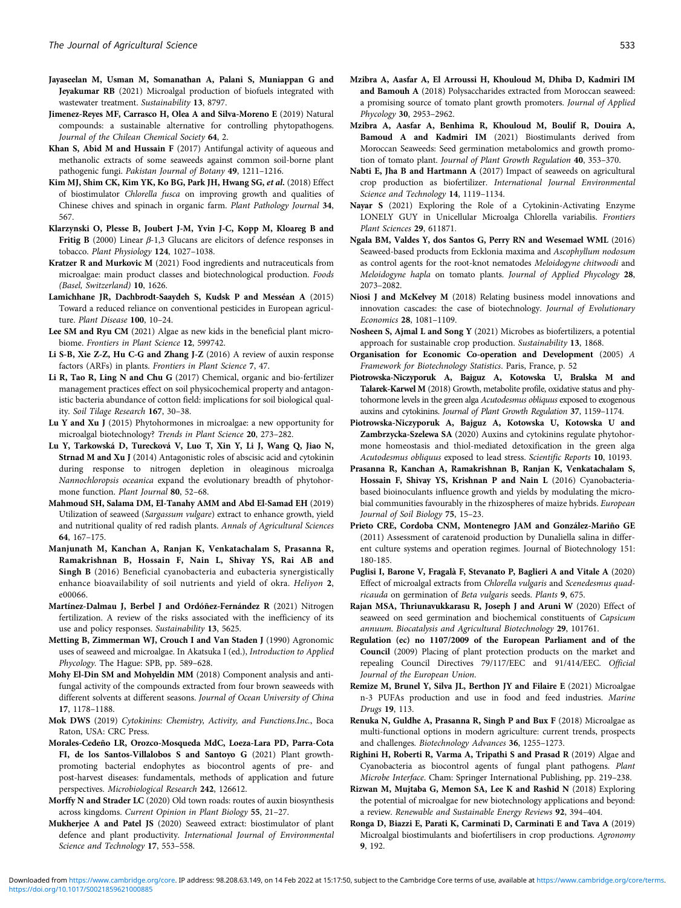- <span id="page-10-0"></span>Jayaseelan M, Usman M, Somanathan A, Palani S, Muniappan G and Jeyakumar RB (2021) Microalgal production of biofuels integrated with wastewater treatment. Sustainability 13, 8797.
- Jimenez-Reyes MF, Carrasco H, Olea A and Silva-Moreno E (2019) Natural compounds: a sustainable alternative for controlling phytopathogens. Journal of the Chilean Chemical Society 64, 2.
- Khan S, Abid M and Hussain F (2017) Antifungal activity of aqueous and methanolic extracts of some seaweeds against common soil-borne plant pathogenic fungi. Pakistan Journal of Botany 49, 1211–1216.
- Kim MJ, Shim CK, Kim YK, Ko BG, Park JH, Hwang SG, et al. (2018) Effect of biostimulator Chlorella fusca on improving growth and qualities of Chinese chives and spinach in organic farm. Plant Pathology Journal 34, 567.
- Klarzynski O, Plesse B, Joubert J-M, Yvin J-C, Kopp M, Kloareg B and Fritig B (2000) Linear  $\beta$ -1,3 Glucans are elicitors of defence responses in tobacco. Plant Physiology 124, 1027–1038.
- Kratzer R and Murkovic M (2021) Food ingredients and nutraceuticals from microalgae: main product classes and biotechnological production. Foods (Basel, Switzerland) 10, 1626.
- Lamichhane JR, Dachbrodt-Saaydeh S, Kudsk P and Messéan A (2015) Toward a reduced reliance on conventional pesticides in European agriculture. Plant Disease 100, 10–24.
- Lee SM and Ryu CM (2021) Algae as new kids in the beneficial plant microbiome. Frontiers in Plant Science 12, 599742.
- Li S-B, Xie Z-Z, Hu C-G and Zhang J-Z (2016) A review of auxin response factors (ARFs) in plants. Frontiers in Plant Science 7, 47.
- Li R, Tao R, Ling N and Chu G (2017) Chemical, organic and bio-fertilizer management practices effect on soil physicochemical property and antagonistic bacteria abundance of cotton field: implications for soil biological quality. Soil Tilage Research 167, 30–38.
- Lu Y and Xu J (2015) Phytohormones in microalgae: a new opportunity for microalgal biotechnology? Trends in Plant Science 20, 273–282.
- Lu Y, Tarkowská D, Turecková V, Luo T, Xin Y, Li J, Wang Q, Jiao N, Strnad M and Xu J (2014) Antagonistic roles of abscisic acid and cytokinin during response to nitrogen depletion in oleaginous microalga Nannochloropsis oceanica expand the evolutionary breadth of phytohormone function. Plant Journal 80, 52–68.
- Mahmoud SH, Salama DM, El-Tanahy AMM and Abd El-Samad EH (2019) Utilization of seaweed (Sargassum vulgare) extract to enhance growth, yield and nutritional quality of red radish plants. Annals of Agricultural Sciences 64, 167–175.
- Manjunath M, Kanchan A, Ranjan K, Venkatachalam S, Prasanna R, Ramakrishnan B, Hossain F, Nain L, Shivay YS, Rai AB and Singh B (2016) Beneficial cyanobacteria and eubacteria synergistically enhance bioavailability of soil nutrients and yield of okra. Heliyon 2, e00066.
- Martínez-Dalmau J, Berbel J and Ordóñez-Fernández R (2021) Nitrogen fertilization. A review of the risks associated with the inefficiency of its use and policy responses. Sustainability 13, 5625.
- Metting B, Zimmerman WJ, Crouch I and Van Staden J (1990) Agronomic uses of seaweed and microalgae. In Akatsuka I (ed.), Introduction to Applied Phycology. The Hague: SPB, pp. 589–628.
- Mohy El-Din SM and Mohyeldin MM (2018) Component analysis and antifungal activity of the compounds extracted from four brown seaweeds with different solvents at different seasons. Journal of Ocean University of China 17, 1178–1188.
- Mok DWS (2019) Cytokinins: Chemistry, Activity, and Functions.Inc., Boca Raton, USA: CRC Press.
- Morales-Cedeño LR, Orozco-Mosqueda MdC, Loeza-Lara PD, Parra-Cota FI, de los Santos-Villalobos S and Santoyo G (2021) Plant growthpromoting bacterial endophytes as biocontrol agents of pre- and post-harvest diseases: fundamentals, methods of application and future perspectives. Microbiological Research 242, 126612.
- Morffy N and Strader LC (2020) Old town roads: routes of auxin biosynthesis across kingdoms. Current Opinion in Plant Biology 55, 21–27.
- Mukherjee A and Patel JS (2020) Seaweed extract: biostimulator of plant defence and plant productivity. International Journal of Environmental Science and Technology 17, 553–558.
- Mzibra A, Aasfar A, El Arroussi H, Khouloud M, Dhiba D, Kadmiri IM and Bamouh A (2018) Polysaccharides extracted from Moroccan seaweed: a promising source of tomato plant growth promoters. Journal of Applied Phycology 30, 2953–2962.
- Mzibra A, Aasfar A, Benhima R, Khouloud M, Boulif R, Douira A, Bamoud A and Kadmiri IM (2021) Biostimulants derived from Moroccan Seaweeds: Seed germination metabolomics and growth promotion of tomato plant. Journal of Plant Growth Regulation 40, 353-370.
- Nabti E, Jha B and Hartmann A (2017) Impact of seaweeds on agricultural crop production as biofertilizer. International Journal Environmental Science and Technology 14, 1119–1134.
- Nayar S (2021) Exploring the Role of a Cytokinin-Activating Enzyme LONELY GUY in Unicellular Microalga Chlorella variabilis. Frontiers Plant Sciences 29, 611871.
- Ngala BM, Valdes Y, dos Santos G, Perry RN and Wesemael WML (2016) Seaweed-based products from Ecklonia maxima and Ascophyllum nodosum as control agents for the root-knot nematodes Meloidogyne chitwoodi and Meloidogyne hapla on tomato plants. Journal of Applied Phycology 28, 2073–2082.
- Niosi J and McKelvey M (2018) Relating business model innovations and innovation cascades: the case of biotechnology. Journal of Evolutionary Economics 28, 1081–1109.
- Nosheen S, Ajmal L and Song Y (2021) Microbes as biofertilizers, a potential approach for sustainable crop production. Sustainability 13, 1868.
- Organisation for Economic Co-operation and Development (2005) A Framework for Biotechnology Statistics. Paris, France, p. 52
- Piotrowska-Niczyporuk A, Bajguz A, Kotowska U, Bralska M and Talarek-Karwel M (2018) Growth, metabolite profile, oxidative status and phytohormone levels in the green alga Acutodesmus obliquus exposed to exogenous auxins and cytokinins. Journal of Plant Growth Regulation 37, 1159–1174.
- Piotrowska-Niczyporuk A, Bajguz A, Kotowska U, Kotowska U and Zambrzycka-Szelewa SA (2020) Auxins and cytokinins regulate phytohormone homeostasis and thiol-mediated detoxification in the green alga Acutodesmus obliquus exposed to lead stress. Scientific Reports 10, 10193.
- Prasanna R, Kanchan A, Ramakrishnan B, Ranjan K, Venkatachalam S, Hossain F, Shivay YS, Krishnan P and Nain L (2016) Cyanobacteriabased bioinoculants influence growth and yields by modulating the microbial communities favourably in the rhizospheres of maize hybrids. European Journal of Soil Biology 75, 15–23.
- Prieto CRE, Cordoba CNM, Montenegro JAM and González-Mariño GE (2011) Assessment of caratenoid production by Dunaliella salina in different culture systems and operation regimes. Journal of Biotechnology 151: 180-185.
- Puglisi I, Barone V, Fragalà F, Stevanato P, Baglieri A and Vitale A (2020) Effect of microalgal extracts from Chlorella vulgaris and Scenedesmus quadricauda on germination of Beta vulgaris seeds. Plants 9, 675.
- Rajan MSA, Thriunavukkarasu R, Joseph J and Aruni W (2020) Effect of seaweed on seed germination and biochemical constituents of Capsicum annuum. Biocatalysis and Agricultural Biotechnology 29, 101761.
- Regulation (ec) no 1107/2009 of the European Parliament and of the Council (2009) Placing of plant protection products on the market and repealing Council Directives 79/117/EEC and 91/414/EEC. Official Journal of the European Union.
- Remize M, Brunel Y, Silva JL, Berthon JY and Filaire E (2021) Microalgae n-3 PUFAs production and use in food and feed industries. Marine Drugs 19, 113.
- Renuka N, Guldhe A, Prasanna R, Singh P and Bux F (2018) Microalgae as multi-functional options in modern agriculture: current trends, prospects and challenges. Biotechnology Advances 36, 1255–1273.
- Righini H, Roberti R, Varma A, Tripathi S and Prasad R (2019) Algae and Cyanobacteria as biocontrol agents of fungal plant pathogens. Plant Microbe Interface. Cham: Springer International Publishing, pp. 219–238.
- Rizwan M, Mujtaba G, Memon SA, Lee K and Rashid N (2018) Exploring the potential of microalgae for new biotechnology applications and beyond: a review. Renewable and Sustainable Energy Reviews 92, 394–404.
- Ronga D, Biazzi E, Parati K, Carminati D, Carminati E and Tava A (2019) Microalgal biostimulants and biofertilisers in crop productions. Agronomy 9, 192.